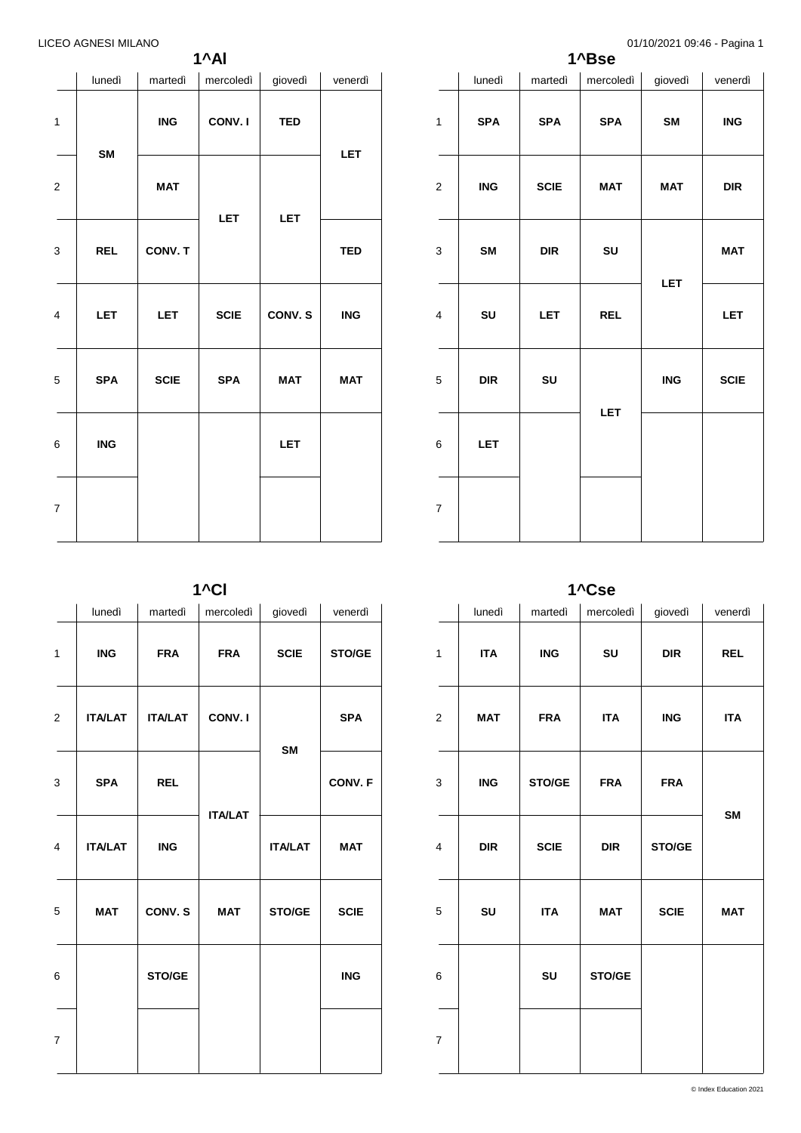**1^Al**

|                | lunedì     | martedì     | mercoledì   | giovedì    | venerdì                   |
|----------------|------------|-------------|-------------|------------|---------------------------|
| $\overline{1}$ |            | ING         | CONV.I      | <b>TED</b> | LET                       |
| 2              | SM         | <b>MAT</b>  | <b>LET</b>  | <b>LET</b> |                           |
| 3              | <b>REL</b> | CONV. T     |             |            | <b>TED</b>                |
| 4              | <b>LET</b> | <b>LET</b>  | <b>SCIE</b> | CONV. S    | $\overline{\mathsf{ING}}$ |
| 5              | <b>SPA</b> | <b>SCIE</b> | <b>SPA</b>  | <b>MAT</b> | MAT                       |
| 6              | <b>ING</b> |             |             | <b>LET</b> |                           |
| 7              |            |             |             |            |                           |

|                         |            |             | 1^Bse      | o 17 I orzuz i los. 40 - Il agina T |             |
|-------------------------|------------|-------------|------------|-------------------------------------|-------------|
|                         | lunedì     | martedì     | mercoledì  | giovedì                             | venerdì     |
| $\mathbf{1}$            | <b>SPA</b> | <b>SPA</b>  | <b>SPA</b> | SM                                  | <b>ING</b>  |
| $\mathbf 2$             | <b>ING</b> | <b>SCIE</b> | <b>MAT</b> | <b>MAT</b>                          | <b>DIR</b>  |
| 3                       | <b>SM</b>  | DIR         | SU         | <b>LET</b>                          | <b>MAT</b>  |
| $\overline{\mathbf{4}}$ | SU         | <b>LET</b>  | <b>REL</b> |                                     | <b>LET</b>  |
| 5                       | <b>DIR</b> | SU          | <b>LET</b> | <b>ING</b>                          | <b>SCIE</b> |
| 6                       | <b>LET</b> |             |            |                                     |             |
| $\boldsymbol{7}$        |            |             |            |                                     |             |

**1^Cl**

|   | lunedì         | martedì        | mercoledì      | giovedì        | venerdì     |
|---|----------------|----------------|----------------|----------------|-------------|
| 1 | <b>ING</b>     | <b>FRA</b>     | <b>FRA</b>     | <b>SCIE</b>    | STO/GE      |
| 2 | <b>ITA/LAT</b> | <b>ITA/LAT</b> | CONV.I         | SM             | <b>SPA</b>  |
| 3 | <b>SPA</b>     | <b>REL</b>     | <b>ITA/LAT</b> |                | CONV. F     |
| 4 | <b>ITA/LAT</b> | <b>ING</b>     |                | <b>ITA/LAT</b> | <b>MAT</b>  |
| 5 | <b>MAT</b>     | CONV.S         | <b>MAT</b>     | STO/GE         | <b>SCIE</b> |
| 6 |                | STO/GE         |                |                | <b>ING</b>  |
| 7 |                |                |                |                |             |

**1^Cse**

|                | lunedì     | martedì     | mercoledì  | giovedì     | venerdì    |
|----------------|------------|-------------|------------|-------------|------------|
| $\mathbf{1}$   | <b>ITA</b> | <b>ING</b>  | SU         | <b>DIR</b>  | <b>REL</b> |
| $\mathbf{2}$   | <b>MAT</b> | <b>FRA</b>  | <b>ITA</b> | <b>ING</b>  | <b>ITA</b> |
| 3              | <b>ING</b> | STO/GE      | <b>FRA</b> | <b>FRA</b>  |            |
| 4              | <b>DIR</b> | <b>SCIE</b> | <b>DIR</b> | STO/GE      | SM         |
| 5              | SU         | <b>ITA</b>  | <b>MAT</b> | <b>SCIE</b> | <b>MAT</b> |
| 6              |            | SU          | STO/GE     |             |            |
| $\overline{7}$ |            |             |            |             |            |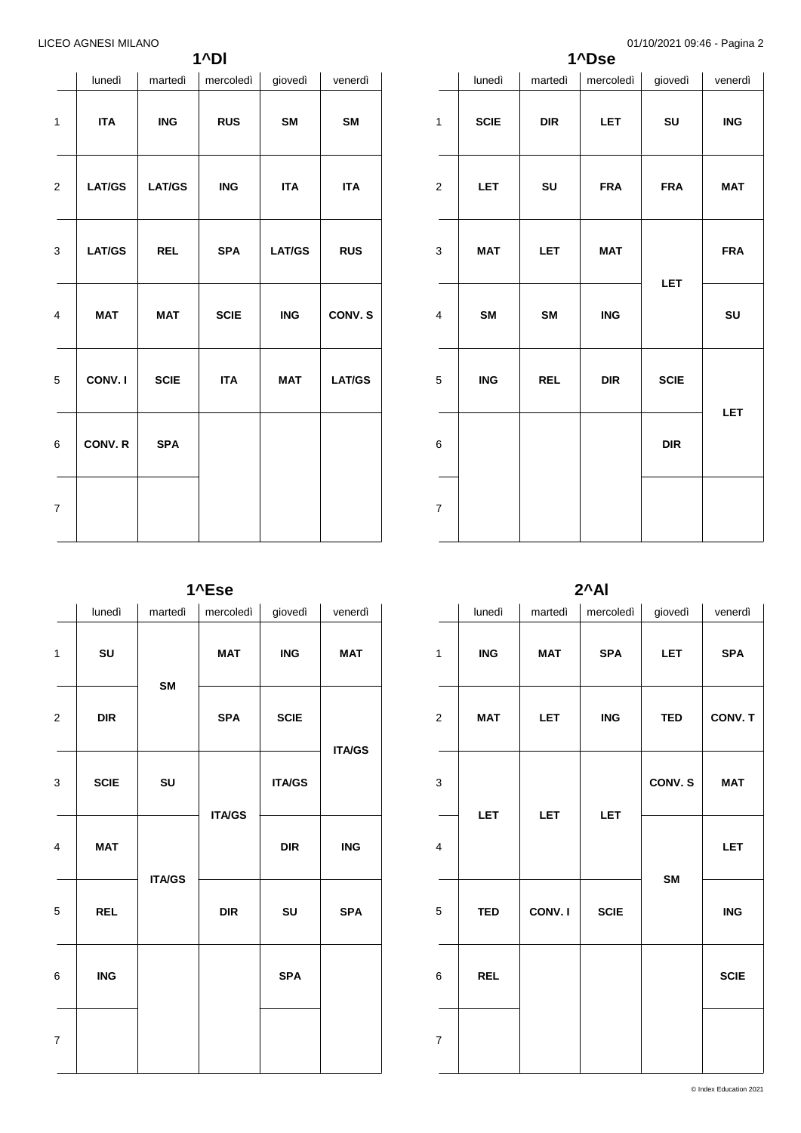**1^Dl**

|   | lunedì        | martedì       | mercoledì   | giovedì       | venerdì       |
|---|---------------|---------------|-------------|---------------|---------------|
| 1 | <b>ITA</b>    | <b>ING</b>    | <b>RUS</b>  | <b>SM</b>     | <b>SM</b>     |
| 2 | <b>LAT/GS</b> | <b>LAT/GS</b> | <b>ING</b>  | <b>ITA</b>    | <b>ITA</b>    |
| 3 | <b>LAT/GS</b> | <b>REL</b>    | <b>SPA</b>  | <b>LAT/GS</b> | <b>RUS</b>    |
| 4 | <b>MAT</b>    | <b>MAT</b>    | <b>SCIE</b> | <b>ING</b>    | CONV.S        |
| 5 | CONV. I       | <b>SCIE</b>   | <b>ITA</b>  | <b>MAT</b>    | <b>LAT/GS</b> |
| 6 | CONV.R        | <b>SPA</b>    |             |               |               |
| 7 |               |               |             |               |               |

| 0.1101202100.7010<br>1^Dse |                                    |                             |                           |             |                           |  |  |
|----------------------------|------------------------------------|-----------------------------|---------------------------|-------------|---------------------------|--|--|
|                            | lunedì                             | martedì                     | mercoledì                 | giovedì     | venerdì                   |  |  |
| $\mathbf{1}$               | <b>SCIE</b>                        | $\ensuremath{\mathsf{DIR}}$ | LET                       | SU          | $\overline{\mathsf{ING}}$ |  |  |
| $\mathbf 2$                | <b>LET</b>                         | SU                          | <b>FRA</b>                | <b>FRA</b>  | <b>MAT</b>                |  |  |
| 3                          | <b>MAT</b>                         | <b>LET</b>                  | <b>MAT</b>                |             | <b>FRA</b>                |  |  |
| $\overline{\mathbf{4}}$    | SM                                 | SM                          | $\overline{\mathsf{ING}}$ | <b>LET</b>  | SU                        |  |  |
| 5                          | $\ensuremath{\mathsf{ING}}\xspace$ | <b>REL</b>                  | DIR                       | <b>SCIE</b> | LET                       |  |  |
| 6                          |                                    |                             |                           | <b>DIR</b>  |                           |  |  |
| $\boldsymbol{7}$           |                                    |                             |                           |             |                           |  |  |

**1^Ese**

|                         | lunedì      | martedì       | mercoledì     | giovedì       | venerdì       |
|-------------------------|-------------|---------------|---------------|---------------|---------------|
| $\mathbf{1}$            | SU          |               | <b>MAT</b>    | ING           | <b>MAT</b>    |
| $\overline{\mathbf{c}}$ | <b>DIR</b>  | SM            | <b>SPA</b>    | <b>SCIE</b>   | <b>ITA/GS</b> |
| 3                       | <b>SCIE</b> | SU            | <b>ITA/GS</b> | <b>ITA/GS</b> |               |
| $\overline{\mathbf{4}}$ | <b>MAT</b>  |               |               | <b>DIR</b>    | <b>ING</b>    |
| 5                       | <b>REL</b>  | <b>ITA/GS</b> | <b>DIR</b>    | SU            | <b>SPA</b>    |
| 6                       | <b>ING</b>  |               |               | <b>SPA</b>    |               |
| $\overline{7}$          |             |               |               |               |               |

**2^Al**

|                         | lunedì                    | martedì    | mercoledi   | giovedì    | venerdì     |
|-------------------------|---------------------------|------------|-------------|------------|-------------|
| 1                       | $\overline{\mathsf{ING}}$ | <b>MAT</b> | <b>SPA</b>  | <b>LET</b> | <b>SPA</b>  |
| $\overline{c}$          | <b>MAT</b>                | <b>LET</b> | <b>ING</b>  | <b>TED</b> | CONV. T     |
| 3                       | <b>LET</b>                | <b>LET</b> | LET         | CONV. S    | <b>MAT</b>  |
| $\overline{\mathbf{4}}$ |                           |            |             | <b>SM</b>  | LET         |
| 5                       | <b>TED</b>                | CONV. I    | <b>SCIE</b> |            | <b>ING</b>  |
| 6                       | <b>REL</b>                |            |             |            | <b>SCIE</b> |
| $\boldsymbol{7}$        |                           |            |             |            |             |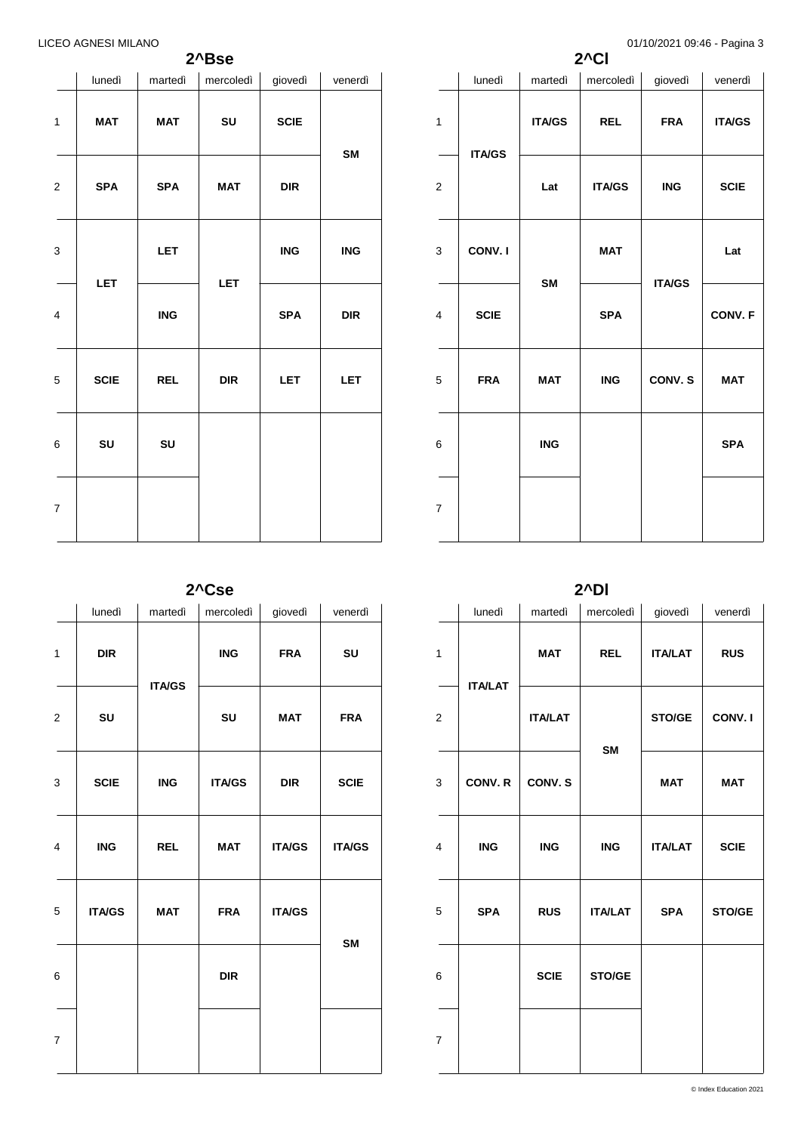## **2^Bse**

|                         | lunedì      | martedì    | mercoledì  | giovedì                   | venerdì                   |
|-------------------------|-------------|------------|------------|---------------------------|---------------------------|
| $\mathbf{1}$            | <b>MAT</b>  | <b>MAT</b> | SU         | <b>SCIE</b>               | <b>SM</b>                 |
| $\overline{\mathbf{c}}$ | <b>SPA</b>  | <b>SPA</b> | <b>MAT</b> | DIR                       |                           |
| 3                       | <b>LET</b>  | <b>LET</b> | LET        | $\overline{\mathsf{ING}}$ | $\overline{\mathsf{ING}}$ |
| $\overline{\mathbf{4}}$ |             | ING        |            | <b>SPA</b>                | DIR                       |
| 5                       | <b>SCIE</b> | <b>REL</b> | DIR        | <b>LET</b>                | <b>LET</b>                |
| 6                       | SU          | SU         |            |                           |                           |
| $\overline{7}$          |             |            |            |                           |                           |

|                |               |               | $2^{\wedge}$ CI | 01/10/2021 05. <del>4</del> 0 - 1 agina J |               |
|----------------|---------------|---------------|-----------------|-------------------------------------------|---------------|
|                | lunedì        | martedì       | mercoledì       | giovedì                                   | venerdì       |
| $\mathbf{1}$   | <b>ITA/GS</b> | <b>ITA/GS</b> | <b>REL</b>      | <b>FRA</b>                                | <b>ITA/GS</b> |
| $\overline{c}$ |               | Lat           | <b>ITA/GS</b>   | <b>ING</b>                                | <b>SCIE</b>   |
| 3              | CONV.I        | <b>SM</b>     | <b>MAT</b>      | <b>ITA/GS</b>                             | Lat           |
| 4              | <b>SCIE</b>   |               | <b>SPA</b>      |                                           | CONV. F       |
| 5              | <b>FRA</b>    | <b>MAT</b>    | <b>ING</b>      | CONV.S                                    | <b>MAT</b>    |
| 6              |               | <b>ING</b>    |                 |                                           | <b>SPA</b>    |
| $\overline{7}$ |               |               |                 |                                           |               |

**2^Cse**

|                         | lunedì        | martedì       | mercoledi     | giovedì       | venerdì       |
|-------------------------|---------------|---------------|---------------|---------------|---------------|
| 1                       | <b>DIR</b>    |               | <b>ING</b>    | <b>FRA</b>    | SU            |
| $\boldsymbol{2}$        | SU            | <b>ITA/GS</b> | SU            | <b>MAT</b>    | <b>FRA</b>    |
| 3                       | <b>SCIE</b>   | <b>ING</b>    | <b>ITA/GS</b> | <b>DIR</b>    | <b>SCIE</b>   |
| $\overline{\mathbf{4}}$ | <b>ING</b>    | <b>REL</b>    | <b>MAT</b>    | <b>ITA/GS</b> | <b>ITA/GS</b> |
| 5                       | <b>ITA/GS</b> | <b>MAT</b>    | <b>FRA</b>    | <b>ITA/GS</b> |               |
| 6                       |               |               | <b>DIR</b>    |               | <b>SM</b>     |
| $\overline{7}$          |               |               |               |               |               |

**2^Dl**

|                | lunedì         | martedì        | mercoledì      | giovedì        | venerdì     |
|----------------|----------------|----------------|----------------|----------------|-------------|
| $\mathbf{1}$   | <b>ITA/LAT</b> | <b>MAT</b>     | <b>REL</b>     | <b>ITA/LAT</b> | <b>RUS</b>  |
| $\mathbf 2$    |                | <b>ITA/LAT</b> | <b>SM</b>      | STO/GE         | CONV.I      |
| 3              | CONV. R        | CONV.S         |                | <b>MAT</b>     | <b>MAT</b>  |
| 4              | <b>ING</b>     | <b>ING</b>     | <b>ING</b>     | <b>ITA/LAT</b> | <b>SCIE</b> |
| 5              | <b>SPA</b>     | <b>RUS</b>     | <b>ITA/LAT</b> | <b>SPA</b>     | STO/GE      |
| 6              |                | <b>SCIE</b>    | STO/GE         |                |             |
| $\overline{7}$ |                |                |                |                |             |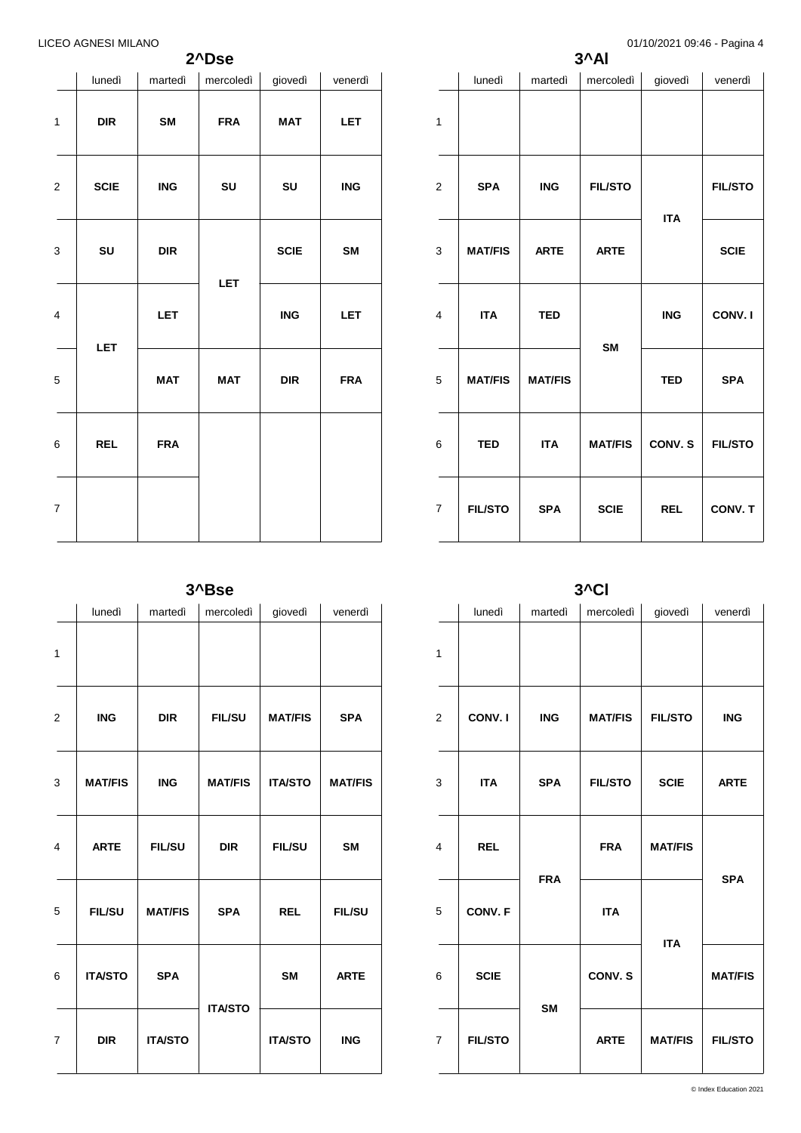**2^Dse**

| lunedì<br>mercoledì<br>martedì<br>giovedì<br>venerdì<br>$\mathbf{1}$<br>$\ensuremath{\mathsf{DIR}}$<br>SM<br><b>FRA</b><br><b>MAT</b><br><b>LET</b><br><b>SCIE</b><br><b>ING</b><br>SU<br><b>ING</b><br>SU<br>2<br>SM<br>3<br>SU<br>DIR<br><b>SCIE</b><br><b>LET</b><br>LET<br>$\overline{\mathsf{ING}}$<br>4<br><b>LET</b><br>LET<br><b>MAT</b><br><b>MAT</b><br>DIR<br><b>FRA</b><br>5<br><b>REL</b><br>6<br><b>FRA</b> |   |  |  |  |
|---------------------------------------------------------------------------------------------------------------------------------------------------------------------------------------------------------------------------------------------------------------------------------------------------------------------------------------------------------------------------------------------------------------------------|---|--|--|--|
|                                                                                                                                                                                                                                                                                                                                                                                                                           |   |  |  |  |
|                                                                                                                                                                                                                                                                                                                                                                                                                           |   |  |  |  |
|                                                                                                                                                                                                                                                                                                                                                                                                                           |   |  |  |  |
|                                                                                                                                                                                                                                                                                                                                                                                                                           |   |  |  |  |
|                                                                                                                                                                                                                                                                                                                                                                                                                           |   |  |  |  |
|                                                                                                                                                                                                                                                                                                                                                                                                                           |   |  |  |  |
|                                                                                                                                                                                                                                                                                                                                                                                                                           |   |  |  |  |
|                                                                                                                                                                                                                                                                                                                                                                                                                           | 7 |  |  |  |

|                | lunedì         | martedì        | mercoledì      | giovedì    | venerdì        |
|----------------|----------------|----------------|----------------|------------|----------------|
| 1              |                |                |                |            |                |
| $\overline{2}$ | <b>SPA</b>     | <b>ING</b>     | <b>FIL/STO</b> | <b>ITA</b> | <b>FIL/STO</b> |
| 3              | <b>MAT/FIS</b> | <b>ARTE</b>    | <b>ARTE</b>    |            | <b>SCIE</b>    |
| 4              | <b>ITA</b>     | <b>TED</b>     |                | <b>ING</b> | CONV.I         |
| 5              | <b>MAT/FIS</b> | <b>MAT/FIS</b> | <b>SM</b>      | <b>TED</b> | <b>SPA</b>     |
| 6              | <b>TED</b>     | <b>ITA</b>     | <b>MAT/FIS</b> | CONV. S    | <b>FIL/STO</b> |
| $\overline{7}$ | <b>FIL/STO</b> | <b>SPA</b>     | <b>SCIE</b>    | <b>REL</b> | CONV. T        |

**3^Al**

**3^Bse**

|                | lunedì         | martedì        | mercoledì      | giovedì        | venerdì        |
|----------------|----------------|----------------|----------------|----------------|----------------|
| 1              |                |                |                |                |                |
| $\overline{2}$ | <b>ING</b>     | <b>DIR</b>     | <b>FIL/SU</b>  | <b>MAT/FIS</b> | <b>SPA</b>     |
| 3              | <b>MAT/FIS</b> | <b>ING</b>     | <b>MAT/FIS</b> | <b>ITA/STO</b> | <b>MAT/FIS</b> |
| $\overline{4}$ | <b>ARTE</b>    | <b>FIL/SU</b>  | <b>DIR</b>     | <b>FIL/SU</b>  | <b>SM</b>      |
| 5              | <b>FIL/SU</b>  | <b>MAT/FIS</b> | <b>SPA</b>     | <b>REL</b>     | <b>FIL/SU</b>  |
| 6              | <b>ITA/STO</b> | <b>SPA</b>     |                | <b>SM</b>      | <b>ARTE</b>    |
| $\overline{7}$ | <b>DIR</b>     | <b>ITA/STO</b> | <b>ITA/STO</b> | <b>ITA/STO</b> | <b>ING</b>     |

**3^Cl**

|                         | <u>v</u>       |            |                |                |                |  |  |  |  |
|-------------------------|----------------|------------|----------------|----------------|----------------|--|--|--|--|
|                         | lunedì         | martedì    | mercoledì      | giovedì        | venerdì        |  |  |  |  |
| $\mathbf{1}$            |                |            |                |                |                |  |  |  |  |
| $\overline{\mathbf{c}}$ | CONV.I         | <b>ING</b> | <b>MAT/FIS</b> | <b>FIL/STO</b> | <b>ING</b>     |  |  |  |  |
| 3                       | <b>ITA</b>     | <b>SPA</b> | <b>FIL/STO</b> | <b>SCIE</b>    | <b>ARTE</b>    |  |  |  |  |
| $\overline{\mathbf{4}}$ | <b>REL</b>     | <b>FRA</b> | <b>FRA</b>     | <b>MAT/FIS</b> | <b>SPA</b>     |  |  |  |  |
| 5                       | CONV. F        |            | <b>ITA</b>     | <b>ITA</b>     |                |  |  |  |  |
| 6                       | <b>SCIE</b>    | <b>SM</b>  | CONV.S         |                | <b>MAT/FIS</b> |  |  |  |  |
| $\overline{7}$          | <b>FIL/STO</b> |            | <b>ARTE</b>    | <b>MAT/FIS</b> | <b>FIL/STO</b> |  |  |  |  |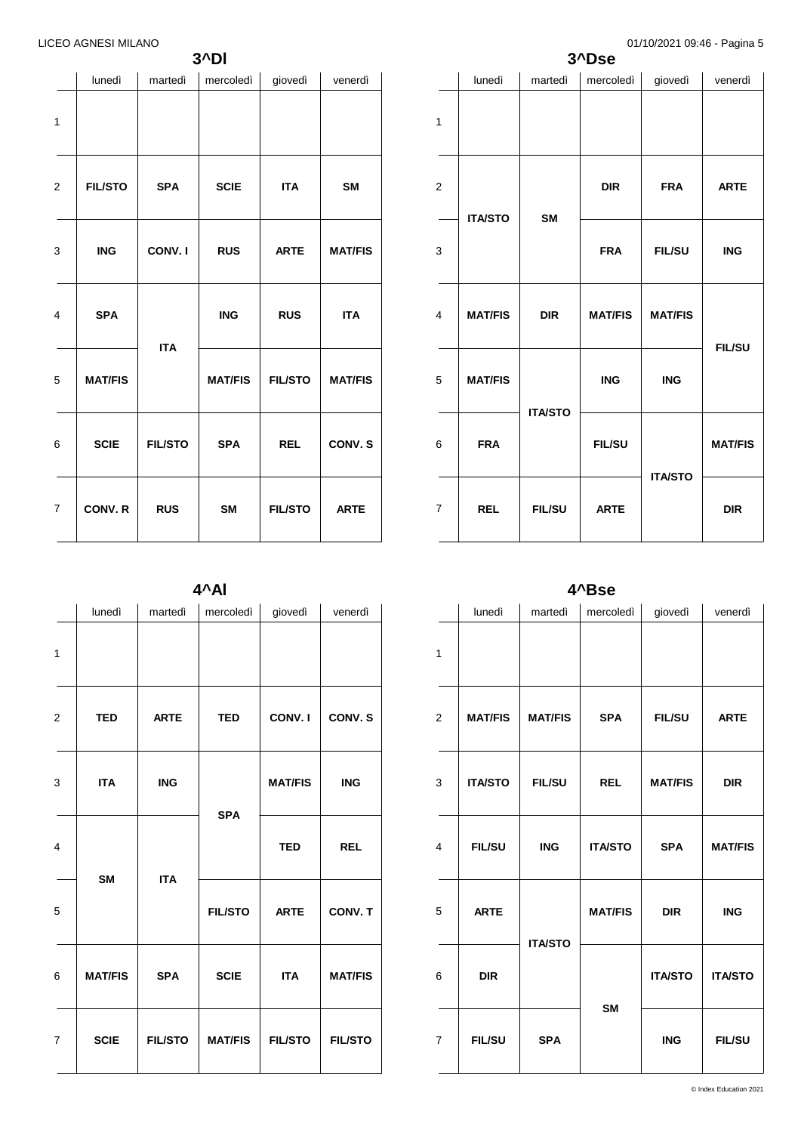**3^Dl**

|                | lunedì         | martedì        | mercoledì      | giovedì        | venerdì        |
|----------------|----------------|----------------|----------------|----------------|----------------|
| $\mathbf{1}$   |                |                |                |                |                |
| $\overline{2}$ | <b>FIL/STO</b> | <b>SPA</b>     | <b>SCIE</b>    | <b>ITA</b>     | <b>SM</b>      |
| 3              | <b>ING</b>     | CONV.I         | <b>RUS</b>     | <b>ARTE</b>    | <b>MAT/FIS</b> |
| 4              | <b>SPA</b>     |                | <b>ING</b>     | <b>RUS</b>     | <b>ITA</b>     |
| 5              | <b>MAT/FIS</b> | <b>ITA</b>     | <b>MAT/FIS</b> | <b>FIL/STO</b> | <b>MAT/FIS</b> |
| 6              | <b>SCIE</b>    | <b>FIL/STO</b> | <b>SPA</b>     | <b>REL</b>     | CONV.S         |
| $\overline{7}$ | CONV. R        | <b>RUS</b>     | <b>SM</b>      | <b>FIL/STO</b> | <b>ARTE</b>    |

|                         | $\cdot$ $\cdot$ $\sim$<br>3^Dse |                |                |                |                |  |  |  |
|-------------------------|---------------------------------|----------------|----------------|----------------|----------------|--|--|--|
|                         | lunedì                          | martedì        | mercoledì      | giovedì        | venerdì        |  |  |  |
| $\mathbf{1}$            |                                 |                |                |                |                |  |  |  |
| $\boldsymbol{2}$        | <b>ITA/STO</b>                  |                | <b>DIR</b>     | <b>FRA</b>     | <b>ARTE</b>    |  |  |  |
| 3                       |                                 | <b>SM</b>      | <b>FRA</b>     | <b>FIL/SU</b>  | <b>ING</b>     |  |  |  |
| $\overline{\mathbf{4}}$ | <b>MAT/FIS</b>                  | <b>DIR</b>     | <b>MAT/FIS</b> | <b>MAT/FIS</b> | <b>FIL/SU</b>  |  |  |  |
| 5                       | <b>MAT/FIS</b>                  | <b>ITA/STO</b> | <b>ING</b>     | <b>ING</b>     |                |  |  |  |
| 6                       | <b>FRA</b>                      |                | <b>FIL/SU</b>  | <b>ITA/STO</b> | <b>MAT/FIS</b> |  |  |  |
| $\overline{7}$          | <b>REL</b>                      | <b>FIL/SU</b>  | <b>ARTE</b>    |                | <b>DIR</b>     |  |  |  |

**4^Al**

|                         | lunedì         | martedì        | mercoledì      | giovedì        | venerdì        |
|-------------------------|----------------|----------------|----------------|----------------|----------------|
| $\mathbf{1}$            |                |                |                |                |                |
| $\boldsymbol{2}$        | <b>TED</b>     | <b>ARTE</b>    | <b>TED</b>     | CONV.I         | CONV.S         |
| 3                       | <b>ITA</b>     | <b>ING</b>     |                | <b>MAT/FIS</b> | <b>ING</b>     |
| $\overline{\mathbf{4}}$ | <b>SM</b>      | <b>ITA</b>     | <b>SPA</b>     | <b>TED</b>     | <b>REL</b>     |
| 5                       |                |                | <b>FIL/STO</b> | <b>ARTE</b>    | CONV. T        |
| 6                       | <b>MAT/FIS</b> | <b>SPA</b>     | <b>SCIE</b>    | <b>ITA</b>     | <b>MAT/FIS</b> |
| $\overline{7}$          | <b>SCIE</b>    | <b>FIL/STO</b> | <b>MAT/FIS</b> | <b>FIL/STO</b> | <b>FIL/STO</b> |

**4^Bse**

|                |                |                | .              |                |                |
|----------------|----------------|----------------|----------------|----------------|----------------|
|                | lunedì         | martedì        | mercoledì      | giovedì        | venerdì        |
| $\mathbf{1}$   |                |                |                |                |                |
| $\overline{2}$ | <b>MAT/FIS</b> | <b>MAT/FIS</b> | <b>SPA</b>     | <b>FIL/SU</b>  | <b>ARTE</b>    |
| 3              | <b>ITA/STO</b> | <b>FIL/SU</b>  | <b>REL</b>     | <b>MAT/FIS</b> | <b>DIR</b>     |
| $\overline{4}$ | <b>FIL/SU</b>  | <b>ING</b>     | <b>ITA/STO</b> | <b>SPA</b>     | <b>MAT/FIS</b> |
| 5              | <b>ARTE</b>    |                | <b>MAT/FIS</b> | <b>DIR</b>     | <b>ING</b>     |
| 6              | <b>DIR</b>     | <b>ITA/STO</b> | <b>SM</b>      | <b>ITA/STO</b> | <b>ITA/STO</b> |
| 7              | <b>FIL/SU</b>  | <b>SPA</b>     |                | <b>ING</b>     | <b>FIL/SU</b>  |
|                |                |                |                |                |                |

© Index Education 2021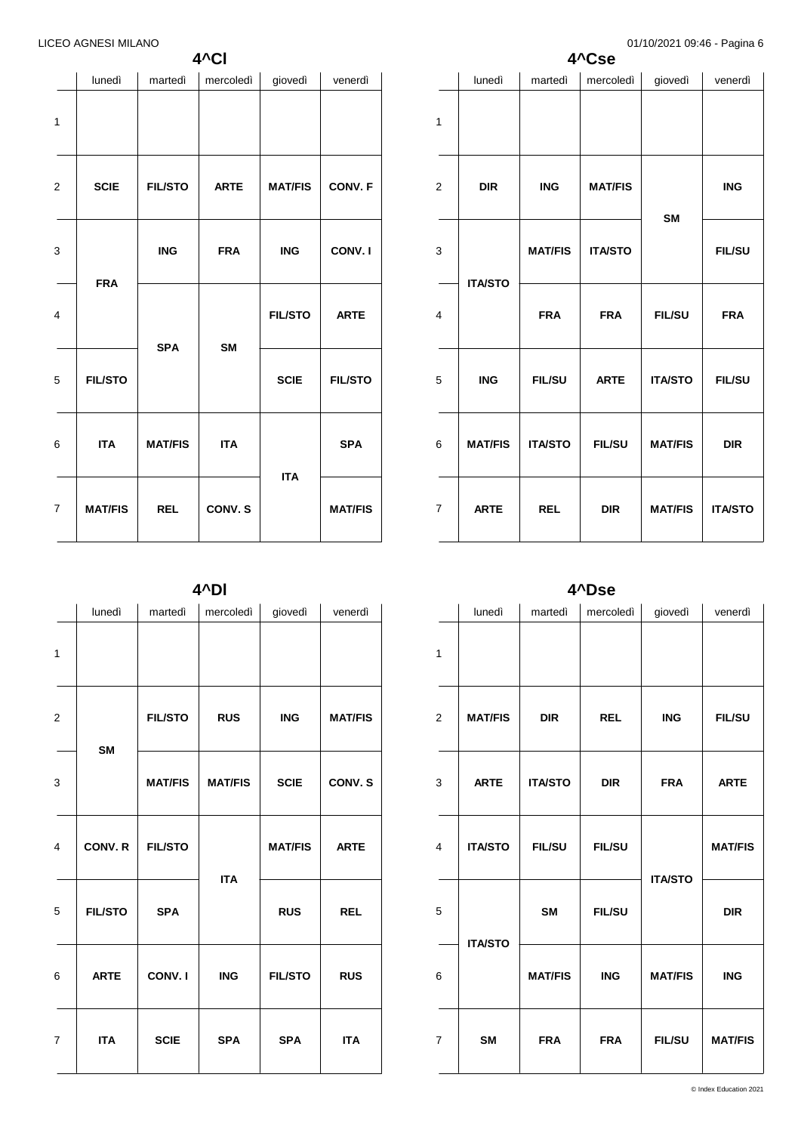**4^Cl**

|              | lunedì         | martedì        | mercoledì             | giovedì        | venerdì        |
|--------------|----------------|----------------|-----------------------|----------------|----------------|
| $\mathbf{1}$ |                |                |                       |                |                |
| 2            | <b>SCIE</b>    | <b>FIL/STO</b> | <b>ARTE</b>           | <b>MAT/FIS</b> | CONV. F        |
| 3            | <b>FRA</b>     | <b>ING</b>     | <b>FRA</b>            | <b>ING</b>     | CONV.I         |
| 4            |                | <b>SPA</b>     | <b>SM</b>             | <b>FIL/STO</b> | <b>ARTE</b>    |
| 5            | <b>FIL/STO</b> |                |                       | <b>SCIE</b>    | <b>FIL/STO</b> |
| 6            | <b>ITA</b>     | <b>MAT/FIS</b> | <b>ITA</b><br>CONV. S | <b>ITA</b>     | <b>SPA</b>     |
| 7            | <b>MAT/FIS</b> | <b>REL</b>     |                       |                | <b>MAT/FIS</b> |

|                | 4^Cse          |                |                |                |                |  |  |  |  |
|----------------|----------------|----------------|----------------|----------------|----------------|--|--|--|--|
|                | lunedì         | martedì        | mercoledì      | giovedì        | venerdì        |  |  |  |  |
| $\mathbf{1}$   |                |                |                |                |                |  |  |  |  |
| 2              | <b>DIR</b>     | <b>ING</b>     | <b>MAT/FIS</b> | <b>SM</b>      | <b>ING</b>     |  |  |  |  |
| 3              | <b>ITA/STO</b> | <b>MAT/FIS</b> | <b>ITA/STO</b> |                | <b>FIL/SU</b>  |  |  |  |  |
| 4              |                | <b>FRA</b>     | <b>FRA</b>     | <b>FIL/SU</b>  | <b>FRA</b>     |  |  |  |  |
| 5              | <b>ING</b>     | <b>FIL/SU</b>  | <b>ARTE</b>    | <b>ITA/STO</b> | <b>FIL/SU</b>  |  |  |  |  |
| 6              | <b>MAT/FIS</b> | <b>ITA/STO</b> | <b>FIL/SU</b>  | <b>MAT/FIS</b> | <b>DIR</b>     |  |  |  |  |
| $\overline{7}$ | <b>ARTE</b>    | <b>REL</b>     | <b>DIR</b>     | <b>MAT/FIS</b> | <b>ITA/STO</b> |  |  |  |  |

**4^Dl**

|                | lunedì         | martedì        | mercoledì      | giovedì        | venerdì        |
|----------------|----------------|----------------|----------------|----------------|----------------|
| 1              |                |                |                |                |                |
| $\overline{2}$ | <b>SM</b>      | <b>FIL/STO</b> | <b>RUS</b>     | <b>ING</b>     | <b>MAT/FIS</b> |
| 3              |                | <b>MAT/FIS</b> | <b>MAT/FIS</b> | <b>SCIE</b>    | CONV.S         |
| 4              | CONV. R        | <b>FIL/STO</b> | <b>ITA</b>     | <b>MAT/FIS</b> | <b>ARTE</b>    |
| 5              | <b>FIL/STO</b> | <b>SPA</b>     |                | <b>RUS</b>     | <b>REL</b>     |
| 6              | <b>ARTE</b>    | CONV.I         | <b>ING</b>     | <b>FIL/STO</b> | <b>RUS</b>     |
| $\overline{7}$ | <b>ITA</b>     | <b>SCIE</b>    | <b>SPA</b>     | <b>SPA</b>     | <b>ITA</b>     |
|                |                |                |                |                |                |

**4^Dse**

|                | lunedì         | martedì        | mercoledì     | giovedì        | venerdì        |
|----------------|----------------|----------------|---------------|----------------|----------------|
| 1              |                |                |               |                |                |
| $\overline{2}$ | <b>MAT/FIS</b> | <b>DIR</b>     | <b>REL</b>    | <b>ING</b>     | <b>FIL/SU</b>  |
| 3              | <b>ARTE</b>    | <b>ITA/STO</b> | <b>DIR</b>    | <b>FRA</b>     | <b>ARTE</b>    |
| $\overline{4}$ | <b>ITA/STO</b> | <b>FIL/SU</b>  | <b>FIL/SU</b> |                | <b>MAT/FIS</b> |
| 5              | <b>ITA/STO</b> | <b>SM</b>      | <b>FIL/SU</b> | <b>ITA/STO</b> | <b>DIR</b>     |
| 6              |                | <b>MAT/FIS</b> | <b>ING</b>    | <b>MAT/FIS</b> | <b>ING</b>     |
| 7              | <b>SM</b>      | <b>FRA</b>     | <b>FRA</b>    | <b>FIL/SU</b>  | <b>MAT/FIS</b> |
|                |                |                |               |                |                |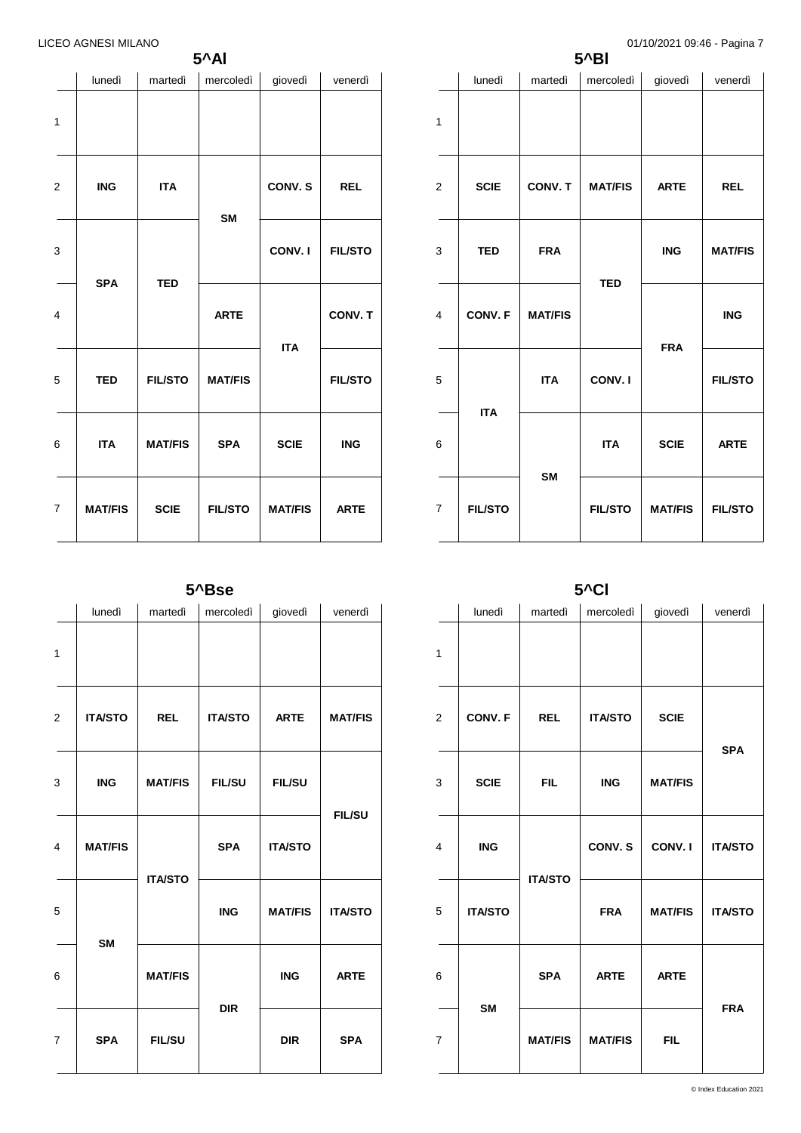**5^Al**

|                | lunedì         | martedì        | mercoledì      | giovedì        | venerdì        |
|----------------|----------------|----------------|----------------|----------------|----------------|
| 1              |                |                |                |                |                |
| $\overline{2}$ | <b>ING</b>     | <b>ITA</b>     | <b>SM</b>      | CONV. S        | <b>REL</b>     |
| 3              |                | <b>TED</b>     |                | CONV.I         | <b>FIL/STO</b> |
| 4              | <b>SPA</b>     |                | <b>ARTE</b>    | <b>ITA</b>     | CONV. T        |
| 5              | <b>TED</b>     | <b>FIL/STO</b> | <b>MAT/FIS</b> |                | <b>FIL/STO</b> |
| 6              | <b>ITA</b>     | <b>MAT/FIS</b> | <b>SPA</b>     | <b>SCIE</b>    | <b>ING</b>     |
| $\overline{7}$ | <b>MAT/FIS</b> | <b>SCIE</b>    | <b>FIL/STO</b> | <b>MAT/FIS</b> | <b>ARTE</b>    |

| $5^{\wedge}BI$   |                              |                |                |                |                |  |  |
|------------------|------------------------------|----------------|----------------|----------------|----------------|--|--|
|                  | lunedì                       | martedì        | mercoledì      | giovedì        | venerdì        |  |  |
| $\mathbf{1}$     |                              |                |                |                |                |  |  |
| $\boldsymbol{2}$ | <b>SCIE</b>                  | CONV. T        | <b>MAT/FIS</b> | <b>ARTE</b>    | <b>REL</b>     |  |  |
| 3                | <b>TED</b>                   | <b>FRA</b>     | <b>ING</b>     | <b>MAT/FIS</b> |                |  |  |
| $\overline{4}$   | CONV. F                      | <b>MAT/FIS</b> | <b>TED</b>     | <b>FRA</b>     | <b>ING</b>     |  |  |
| 5                | <b>ITA</b><br><b>FIL/STO</b> | <b>ITA</b>     | CONV. I        |                | <b>FIL/STO</b> |  |  |
| 6                |                              | <b>SM</b>      | <b>ITA</b>     | <b>SCIE</b>    | <b>ARTE</b>    |  |  |
| $\overline{7}$   |                              |                | <b>FIL/STO</b> | <b>MAT/FIS</b> | <b>FIL/STO</b> |  |  |

| 5 <sup>^</sup> Cl |                |                |                |                |                |  |
|-------------------|----------------|----------------|----------------|----------------|----------------|--|
|                   | lunedì         | martedì        | mercoledì      | giovedì        | venerdì        |  |
| $\mathbf{1}$      |                |                |                |                |                |  |
| $\overline{2}$    | CONV. F        | <b>REL</b>     | <b>ITA/STO</b> | <b>SCIE</b>    | <b>SPA</b>     |  |
| 3                 | <b>SCIE</b>    | <b>FIL</b>     | <b>ING</b>     | <b>MAT/FIS</b> |                |  |
| 4                 | <b>ING</b>     | <b>ITA/STO</b> | CONV. S        | CONV.I         | <b>ITA/STO</b> |  |
| 5                 | <b>ITA/STO</b> |                | <b>FRA</b>     | <b>MAT/FIS</b> | <b>ITA/STO</b> |  |
| 6                 | <b>SM</b>      | <b>SPA</b>     | <b>ARTE</b>    | <b>ARTE</b>    |                |  |
| $\overline{7}$    |                | <b>MAT/FIS</b> | <b>MAT/FIS</b> | <b>FIL</b>     | <b>FRA</b>     |  |

**5^Bse**

|                | lunedì         | martedì        | mercoledì      | giovedì        | venerdì        |
|----------------|----------------|----------------|----------------|----------------|----------------|
| $\mathbf{1}$   |                |                |                |                |                |
| $\overline{2}$ | <b>ITA/STO</b> | <b>REL</b>     | <b>ITA/STO</b> | <b>ARTE</b>    | <b>MAT/FIS</b> |
| 3              | <b>ING</b>     | <b>MAT/FIS</b> | <b>FIL/SU</b>  | <b>FIL/SU</b>  | <b>FIL/SU</b>  |
| $\overline{4}$ | <b>MAT/FIS</b> | <b>ITA/STO</b> | <b>SPA</b>     | <b>ITA/STO</b> |                |
| 5              |                |                | <b>ING</b>     | <b>MAT/FIS</b> | <b>ITA/STO</b> |
| 6              | <b>SM</b>      | <b>MAT/FIS</b> | <b>DIR</b>     | <b>ING</b>     | <b>ARTE</b>    |
| $\overline{7}$ | <b>SPA</b>     | <b>FIL/SU</b>  |                | <b>DIR</b>     | <b>SPA</b>     |